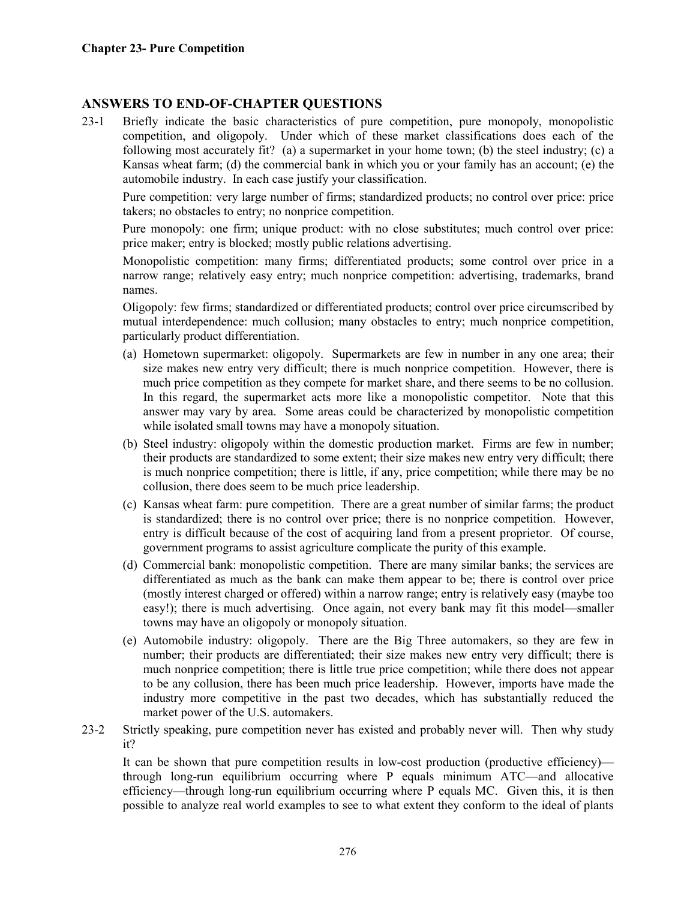## **ANSWERS TO END-OF-CHAPTER QUESTIONS**

23-1 Briefly indicate the basic characteristics of pure competition, pure monopoly, monopolistic competition, and oligopoly. Under which of these market classifications does each of the following most accurately fit? (a) a supermarket in your home town; (b) the steel industry; (c) a Kansas wheat farm; (d) the commercial bank in which you or your family has an account; (e) the automobile industry. In each case justify your classification.

 Pure competition: very large number of firms; standardized products; no control over price: price takers; no obstacles to entry; no nonprice competition.

 Pure monopoly: one firm; unique product: with no close substitutes; much control over price: price maker; entry is blocked; mostly public relations advertising.

 Monopolistic competition: many firms; differentiated products; some control over price in a narrow range; relatively easy entry; much nonprice competition: advertising, trademarks, brand names.

 Oligopoly: few firms; standardized or differentiated products; control over price circumscribed by mutual interdependence: much collusion; many obstacles to entry; much nonprice competition, particularly product differentiation.

- (a) Hometown supermarket: oligopoly. Supermarkets are few in number in any one area; their size makes new entry very difficult; there is much nonprice competition. However, there is much price competition as they compete for market share, and there seems to be no collusion. In this regard, the supermarket acts more like a monopolistic competitor. Note that this answer may vary by area. Some areas could be characterized by monopolistic competition while isolated small towns may have a monopoly situation.
- (b) Steel industry: oligopoly within the domestic production market. Firms are few in number; their products are standardized to some extent; their size makes new entry very difficult; there is much nonprice competition; there is little, if any, price competition; while there may be no collusion, there does seem to be much price leadership.
- (c) Kansas wheat farm: pure competition. There are a great number of similar farms; the product is standardized; there is no control over price; there is no nonprice competition. However, entry is difficult because of the cost of acquiring land from a present proprietor. Of course, government programs to assist agriculture complicate the purity of this example.
- (d) Commercial bank: monopolistic competition. There are many similar banks; the services are differentiated as much as the bank can make them appear to be; there is control over price (mostly interest charged or offered) within a narrow range; entry is relatively easy (maybe too easy!); there is much advertising. Once again, not every bank may fit this model—smaller towns may have an oligopoly or monopoly situation.
- (e) Automobile industry: oligopoly. There are the Big Three automakers, so they are few in number; their products are differentiated; their size makes new entry very difficult; there is much nonprice competition; there is little true price competition; while there does not appear to be any collusion, there has been much price leadership. However, imports have made the industry more competitive in the past two decades, which has substantially reduced the market power of the U.S. automakers.
- 23-2 Strictly speaking, pure competition never has existed and probably never will. Then why study it?

 It can be shown that pure competition results in low-cost production (productive efficiency) through long-run equilibrium occurring where P equals minimum ATC—and allocative efficiency—through long-run equilibrium occurring where P equals MC. Given this, it is then possible to analyze real world examples to see to what extent they conform to the ideal of plants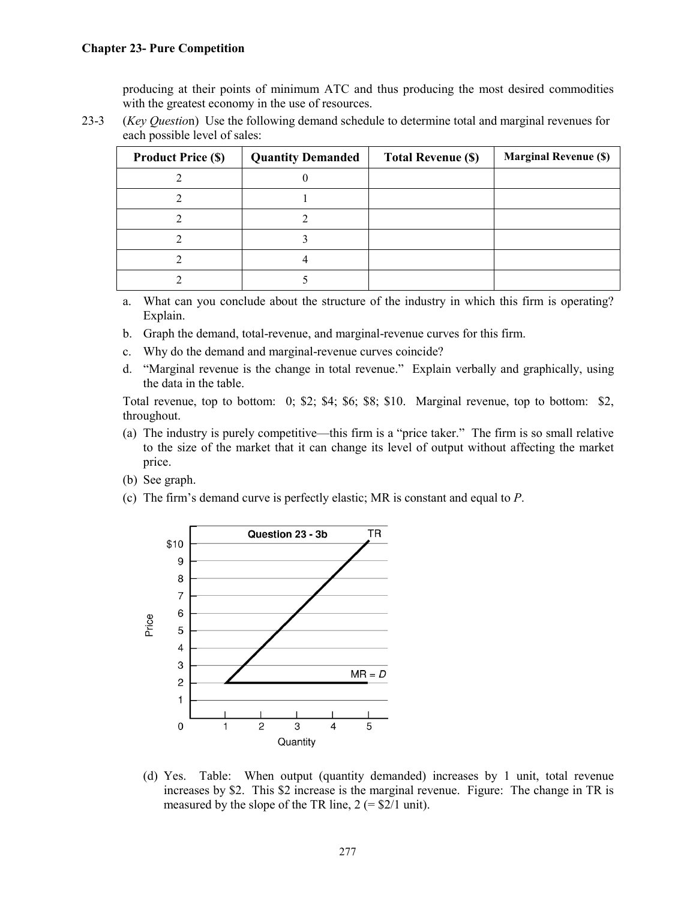producing at their points of minimum ATC and thus producing the most desired commodities with the greatest economy in the use of resources.

23-3 (*Key Questio*n) Use the following demand schedule to determine total and marginal revenues for each possible level of sales:

| <b>Product Price (\$)</b> | <b>Quantity Demanded</b> | <b>Total Revenue (\$)</b> | <b>Marginal Revenue (\$)</b> |
|---------------------------|--------------------------|---------------------------|------------------------------|
|                           |                          |                           |                              |
|                           |                          |                           |                              |
|                           |                          |                           |                              |
|                           |                          |                           |                              |
|                           |                          |                           |                              |
|                           |                          |                           |                              |

a. What can you conclude about the structure of the industry in which this firm is operating? Explain.

- b. Graph the demand, total-revenue, and marginal-revenue curves for this firm.
- c. Why do the demand and marginal-revenue curves coincide?
- d. "Marginal revenue is the change in total revenue." Explain verbally and graphically, using the data in the table.

 Total revenue, top to bottom: 0; \$2; \$4; \$6; \$8; \$10. Marginal revenue, top to bottom: \$2, throughout.

- (a) The industry is purely competitive—this firm is a "price taker." The firm is so small relative to the size of the market that it can change its level of output without affecting the market price.
- (b) See graph.
- (c) The firm's demand curve is perfectly elastic; MR is constant and equal to *P*.



(d) Yes. Table: When output (quantity demanded) increases by 1 unit, total revenue increases by \$2. This \$2 increase is the marginal revenue. Figure: The change in TR is measured by the slope of the TR line,  $2 (= $2/1 \text{ unit})$ .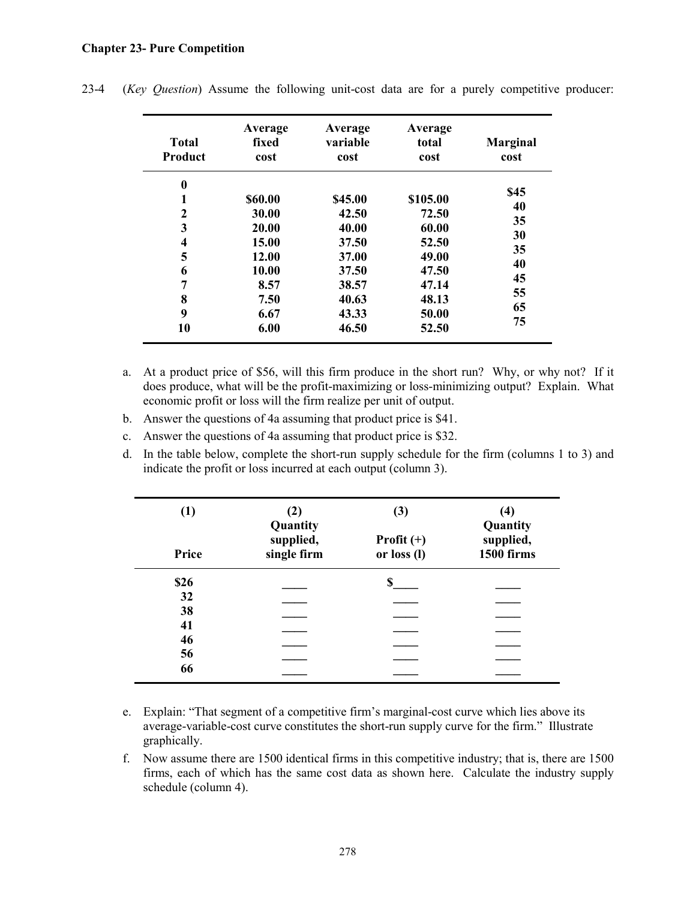## **Chapter 23- Pure Competition**

| <b>Total</b><br>Product | Average<br>fixed<br>cost | Average<br>variable<br>cost | Average<br>total<br>cost | <b>Marginal</b><br>cost |
|-------------------------|--------------------------|-----------------------------|--------------------------|-------------------------|
| $\boldsymbol{0}$        |                          |                             |                          | \$45                    |
| 1                       | \$60.00                  | \$45.00                     | \$105.00                 | 40                      |
| 2                       | 30.00                    | 42.50                       | 72.50                    |                         |
| 3                       | 20.00                    | 40.00                       | 60.00                    | 35                      |
| 4                       | 15.00                    | 37.50                       | 52.50                    | 30                      |
| 5                       | 12.00                    | 37.00                       | 49.00                    | 35                      |
| 6                       | 10.00                    | 37.50                       | 47.50                    | 40                      |
| 7                       | 8.57                     | 38.57                       | 47.14                    | 45                      |
| 8                       | 7.50                     | 40.63                       | 48.13                    | 55                      |
| 9                       | 6.67                     | 43.33                       | 50.00                    | 65                      |
| 10                      | 6.00                     | 46.50                       | 52.50                    | 75                      |

23-4 (*Key Question*) Assume the following unit-cost data are for a purely competitive producer:

- a. At a product price of \$56, will this firm produce in the short run? Why, or why not? If it does produce, what will be the profit-maximizing or loss-minimizing output? Explain. What economic profit or loss will the firm realize per unit of output.
- b. Answer the questions of 4a assuming that product price is \$41.
- c. Answer the questions of 4a assuming that product price is \$32.
- d. In the table below, complete the short-run supply schedule for the firm (columns 1 to 3) and indicate the profit or loss incurred at each output (column 3).

| (1)   | (2)<br>Quantity          | (3)                         | (4)<br>Quantity                |
|-------|--------------------------|-----------------------------|--------------------------------|
| Price | supplied,<br>single firm | Profit $(+)$<br>or loss (l) | supplied,<br><b>1500 firms</b> |
| \$26  |                          | S                           |                                |
| 32    |                          |                             |                                |
| 38    |                          |                             |                                |
| 41    |                          |                             |                                |
| 46    |                          |                             |                                |
| 56    |                          |                             |                                |
| 66    |                          |                             |                                |

- e. Explain: "That segment of a competitive firm's marginal-cost curve which lies above its average-variable-cost curve constitutes the short-run supply curve for the firm." Illustrate graphically.
- f. Now assume there are 1500 identical firms in this competitive industry; that is, there are 1500 firms, each of which has the same cost data as shown here. Calculate the industry supply schedule (column 4).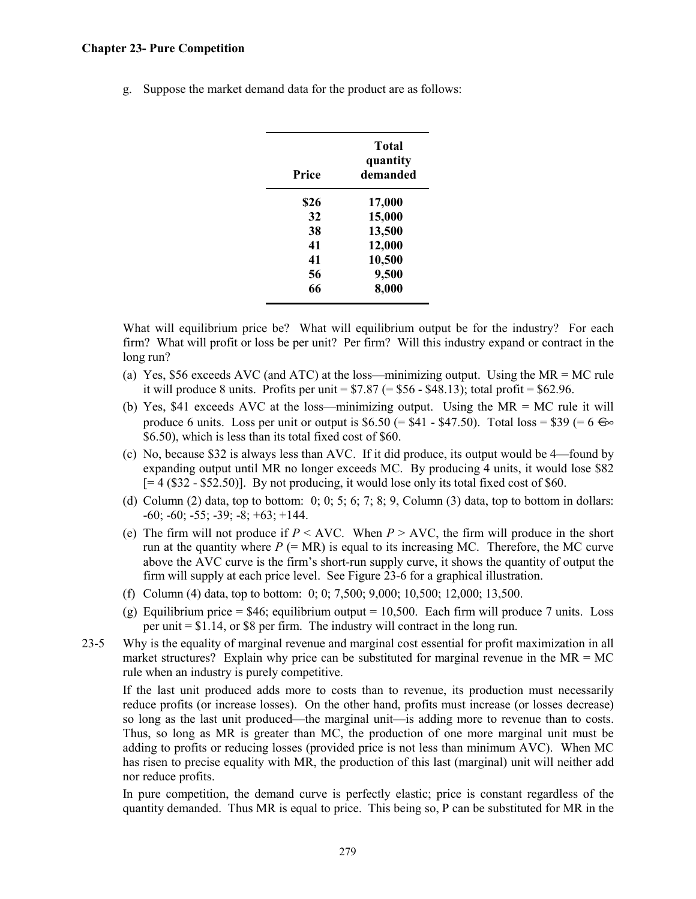## **Chapter 23- Pure Competition**

g. Suppose the market demand data for the product are as follows:

| Price | <b>Total</b><br>quantity<br>demanded |
|-------|--------------------------------------|
| \$26  | 17,000                               |
| 32    | 15,000                               |
| 38    | 13,500                               |
| 41    | 12,000                               |
| 41    | 10,500                               |
| 56    | 9,500                                |
| 66    | 8,000                                |

What will equilibrium price be? What will equilibrium output be for the industry? For each firm? What will profit or loss be per unit? Per firm? Will this industry expand or contract in the long run?

- (a) Yes, \$56 exceeds AVC (and ATC) at the loss—minimizing output. Using the MR = MC rule it will produce 8 units. Profits per unit  $= $7.87 (= $56 - $48.13)$ ; total profit  $= $62.96$ .
- (b) Yes, \$41 exceeds AVC at the loss—minimizing output. Using the MR = MC rule it will produce 6 units. Loss per unit or output is \$6.50 (= \$41 - \$47.50). Total loss = \$39 (=  $6 \Leftrightarrow$ \$6.50), which is less than its total fixed cost of \$60.
- (c) No, because \$32 is always less than AVC. If it did produce, its output would be 4—found by expanding output until MR no longer exceeds MC. By producing 4 units, it would lose \$82  $[= 4 (\$32 - \$52.50)]$ . By not producing, it would lose only its total fixed cost of \$60.
- (d) Column (2) data, top to bottom:  $0; 0; 5; 6; 7; 8; 9$ , Column (3) data, top to bottom in dollars:  $-60$ ;  $-60$ ;  $-55$ ;  $-39$ ;  $-8$ ;  $+63$ ;  $+144$ .
- (e) The firm will not produce if  $P \leq \text{AVC}$ . When  $P \geq \text{AVC}$ , the firm will produce in the short run at the quantity where  $P = MR$  is equal to its increasing MC. Therefore, the MC curve above the AVC curve is the firm's short-run supply curve, it shows the quantity of output the firm will supply at each price level. See Figure 23-6 for a graphical illustration.
- (f) Column (4) data, top to bottom: 0; 0; 7,500; 9,000; 10,500; 12,000; 13,500.
- (g) Equilibrium price =  $$46$ ; equilibrium output = 10,500. Each firm will produce 7 units. Loss per unit  $= $1.14$ , or \$8 per firm. The industry will contract in the long run.
- 23-5 Why is the equality of marginal revenue and marginal cost essential for profit maximization in all market structures? Explain why price can be substituted for marginal revenue in the  $MR = MC$ rule when an industry is purely competitive.

 If the last unit produced adds more to costs than to revenue, its production must necessarily reduce profits (or increase losses). On the other hand, profits must increase (or losses decrease) so long as the last unit produced—the marginal unit—is adding more to revenue than to costs. Thus, so long as MR is greater than MC, the production of one more marginal unit must be adding to profits or reducing losses (provided price is not less than minimum AVC). When MC has risen to precise equality with MR, the production of this last (marginal) unit will neither add nor reduce profits.

 In pure competition, the demand curve is perfectly elastic; price is constant regardless of the quantity demanded. Thus MR is equal to price. This being so, P can be substituted for MR in the